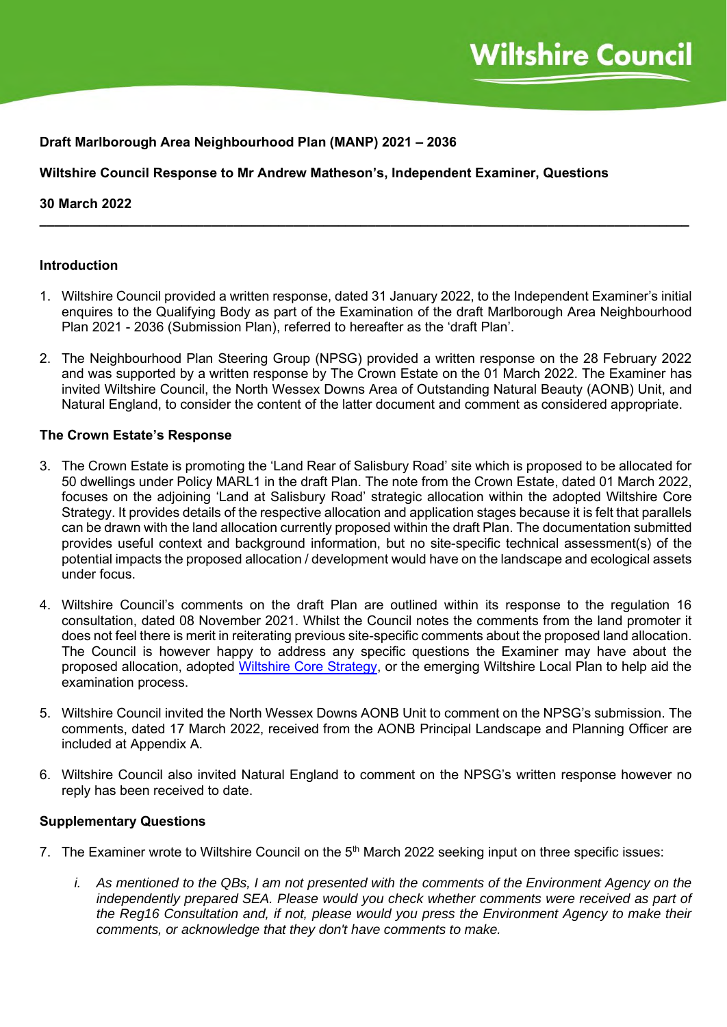## **Draft Marlborough Area Neighbourhood Plan (MANP) 2021 – 2036**

**Wiltshire Council Response to Mr Andrew Matheson's, Independent Examiner, Questions**

### **30 March 2022**

### **Introduction**

1. Wiltshire Council provided a written response, dated 31 January 2022, to the Independent Examiner's initial enquires to the Qualifying Body as part of the Examination of the draft Marlborough Area Neighbourhood Plan 2021 - 2036 (Submission Plan), referred to hereafter as the 'draft Plan'.

**\_\_\_\_\_\_\_\_\_\_\_\_\_\_\_\_\_\_\_\_\_\_\_\_\_\_\_\_\_\_\_\_\_\_\_\_\_\_\_\_\_\_\_\_\_\_\_\_\_\_\_\_\_\_\_\_\_\_\_\_\_\_\_\_\_\_\_\_\_\_\_\_\_\_\_\_\_\_\_\_\_\_\_\_\_\_\_**

2. The Neighbourhood Plan Steering Group (NPSG) provided a written response on the 28 February 2022 and was supported by a written response by The Crown Estate on the 01 March 2022. The Examiner has invited Wiltshire Council, the North Wessex Downs Area of Outstanding Natural Beauty (AONB) Unit, and Natural England, to consider the content of the latter document and comment as considered appropriate.

#### **The Crown Estate's Response**

- 3. The Crown Estate is promoting the 'Land Rear of Salisbury Road' site which is proposed to be allocated for 50 dwellings under Policy MARL1 in the draft Plan. The note from the Crown Estate, dated 01 March 2022, focuses on the adjoining 'Land at Salisbury Road' strategic allocation within the adopted Wiltshire Core Strategy. It provides details of the respective allocation and application stages because it is felt that parallels can be drawn with the land allocation currently proposed within the draft Plan. The documentation submitted provides useful context and background information, but no site-specific technical assessment(s) of the potential impacts the proposed allocation / development would have on the landscape and ecological assets under focus.
- 4. Wiltshire Council's comments on the draft Plan are outlined within its response to the regulation 16 consultation, dated 08 November 2021. Whilst the Council notes the comments from the land promoter it does not feel there is merit in reiterating previous site-specific comments about the proposed land allocation. The Council is however happy to address any specific questions the Examiner may have about the proposed allocation, adopted [Wiltshire Core Strategy,](https://www.wiltshire.gov.uk/media/372/Wiltshire-Core-Strategy-adopted-2015/pdf/Wcs.pdf?m=637099399373530000) or the emerging Wiltshire Local Plan to help aid the examination process.
- 5. Wiltshire Council invited the North Wessex Downs AONB Unit to comment on the NPSG's submission. The comments, dated 17 March 2022, received from the AONB Principal Landscape and Planning Officer are included at Appendix A.
- 6. Wiltshire Council also invited Natural England to comment on the NPSG's written response however no reply has been received to date.

#### **Supplementary Questions**

- 7. The Examiner wrote to Wiltshire Council on the 5<sup>th</sup> March 2022 seeking input on three specific issues:
	- *i. As mentioned to the QBs, I am not presented with the comments of the Environment Agency on the*  independently prepared SEA. Please would you check whether comments were received as part of *the Reg16 Consultation and, if not, please would you press the Environment Agency to make their comments, or acknowledge that they don't have comments to make.*